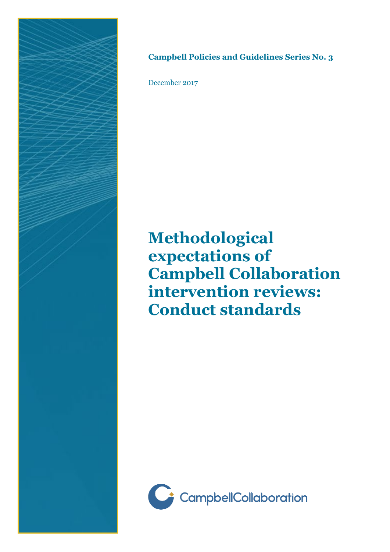

## **Campbell Policies and Guidelines Series No. 3**

December 2017

**Methodological expectations of Campbell Collaboration intervention reviews: Conduct standards**

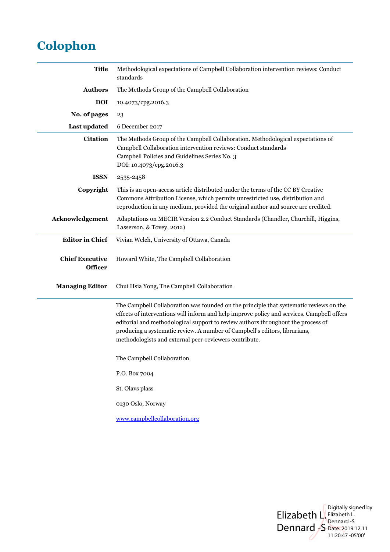## **Colophon**

| <b>Title</b>                      | Methodological expectations of Campbell Collaboration intervention reviews: Conduct<br>standards                                                                                                                                                                                                                                                                                                                 |
|-----------------------------------|------------------------------------------------------------------------------------------------------------------------------------------------------------------------------------------------------------------------------------------------------------------------------------------------------------------------------------------------------------------------------------------------------------------|
| <b>Authors</b>                    | The Methods Group of the Campbell Collaboration                                                                                                                                                                                                                                                                                                                                                                  |
| <b>DOI</b>                        | 10.4073/cpg.2016.3                                                                                                                                                                                                                                                                                                                                                                                               |
| No. of pages                      | 23                                                                                                                                                                                                                                                                                                                                                                                                               |
| Last updated                      | 6 December 2017                                                                                                                                                                                                                                                                                                                                                                                                  |
| <b>Citation</b>                   | The Methods Group of the Campbell Collaboration. Methodological expectations of<br>Campbell Collaboration intervention reviews: Conduct standards<br>Campbell Policies and Guidelines Series No. 3<br>DOI: 10.4073/cpg.2016.3                                                                                                                                                                                    |
| <b>ISSN</b>                       | 2535-2458                                                                                                                                                                                                                                                                                                                                                                                                        |
| Copyright                         | This is an open-access article distributed under the terms of the CC BY Creative<br>Commons Attribution License, which permits unrestricted use, distribution and<br>reproduction in any medium, provided the original author and source are credited.                                                                                                                                                           |
| Acknowledgement                   | Adaptations on MECIR Version 2.2 Conduct Standards (Chandler, Churchill, Higgins,<br>Lasserson, & Tovey, 2012)                                                                                                                                                                                                                                                                                                   |
| <b>Editor in Chief</b>            | Vivian Welch, University of Ottawa, Canada                                                                                                                                                                                                                                                                                                                                                                       |
| <b>Chief Executive</b><br>Officer | Howard White, The Campbell Collaboration                                                                                                                                                                                                                                                                                                                                                                         |
| <b>Managing Editor</b>            | Chui Hsia Yong, The Campbell Collaboration                                                                                                                                                                                                                                                                                                                                                                       |
|                                   | The Campbell Collaboration was founded on the principle that systematic reviews on the<br>effects of interventions will inform and help improve policy and services. Campbell offers<br>editorial and methodological support to review authors throughout the process of<br>producing a systematic review. A number of Campbell's editors, librarians,<br>methodologists and external peer-reviewers contribute. |
|                                   | The Campbell Collaboration                                                                                                                                                                                                                                                                                                                                                                                       |
|                                   | P.O. Box 7004                                                                                                                                                                                                                                                                                                                                                                                                    |
|                                   | St. Olavs plass                                                                                                                                                                                                                                                                                                                                                                                                  |
|                                   | 0130 Oslo, Norway                                                                                                                                                                                                                                                                                                                                                                                                |
|                                   | www.campbellcollaboration.org                                                                                                                                                                                                                                                                                                                                                                                    |

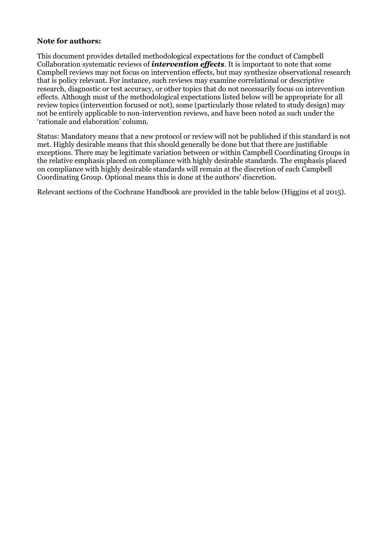## **Note for authors:**

This document provides detailed methodological expectations for the conduct of Campbell Collaboration systematic reviews of *intervention effects*. It is important to note that some Campbell reviews may not focus on intervention effects, but may synthesize observational research that is policy relevant. For instance, such reviews may examine correlational or descriptive research, diagnostic or test accuracy, or other topics that do not necessarily focus on intervention effects. Although most of the methodological expectations listed below will be appropriate for all review topics (intervention focused or not), some (particularly those related to study design) may not be entirely applicable to non-intervention reviews, and have been noted as such under the 'rationale and elaboration' column.

Status: Mandatory means that a new protocol or review will not be published if this standard is not met. Highly desirable means that this should generally be done but that there are justifiable exceptions. There may be legitimate variation between or within Campbell Coordinating Groups in the relative emphasis placed on compliance with highly desirable standards. The emphasis placed on compliance with highly desirable standards will remain at the discretion of each Campbell Coordinating Group. Optional means this is done at the authors' discretion.

Relevant sections of the Cochrane Handbook are provided in the table below (Higgins et al 2015).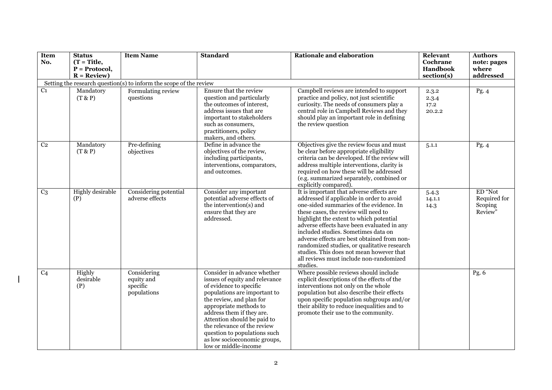| Item<br>No.     | <b>Status</b><br>$(T = Title,$<br>$P = Protocol,$<br>$R = Review$ ) | <b>Item Name</b>                                                   | <b>Standard</b>                                                                                                                                                                                                                                                                                                                                                   | <b>Rationale and elaboration</b>                                                                                                                                                                                                                                                                                                                                                                                                                                                                          | Relevant<br>Cochrane<br>Handbook<br>section(s) | <b>Authors</b><br>note: pages<br>where<br>addressed |
|-----------------|---------------------------------------------------------------------|--------------------------------------------------------------------|-------------------------------------------------------------------------------------------------------------------------------------------------------------------------------------------------------------------------------------------------------------------------------------------------------------------------------------------------------------------|-----------------------------------------------------------------------------------------------------------------------------------------------------------------------------------------------------------------------------------------------------------------------------------------------------------------------------------------------------------------------------------------------------------------------------------------------------------------------------------------------------------|------------------------------------------------|-----------------------------------------------------|
|                 |                                                                     | Setting the research question(s) to inform the scope of the review |                                                                                                                                                                                                                                                                                                                                                                   |                                                                                                                                                                                                                                                                                                                                                                                                                                                                                                           |                                                |                                                     |
| C <sub>1</sub>  | Mandatory<br>(T & P)                                                | Formulating review<br>questions                                    | Ensure that the review<br>question and particularly<br>the outcomes of interest,<br>address issues that are<br>important to stakeholders<br>such as consumers,<br>practitioners, policy<br>makers, and others.                                                                                                                                                    | Campbell reviews are intended to support<br>practice and policy, not just scientific<br>curiosity. The needs of consumers play a<br>central role in Campbell Reviews and they<br>should play an important role in defining<br>the review question                                                                                                                                                                                                                                                         | 2.3.2<br>2.3.4<br>17.2<br>20.2.2               | Pg. 4                                               |
| C <sub>2</sub>  | Mandatory<br>(T & P)                                                | Pre-defining<br>objectives                                         | Define in advance the<br>objectives of the review,<br>including participants,<br>interventions, comparators,<br>and outcomes.                                                                                                                                                                                                                                     | Objectives give the review focus and must<br>be clear before appropriate eligibility<br>criteria can be developed. If the review will<br>address multiple interventions, clarity is<br>required on how these will be addressed<br>(e.g. summarized separately, combined or<br>explicitly compared).                                                                                                                                                                                                       | 5.1.1                                          | Pg. $4$                                             |
| C <sub>3</sub>  | <b>Highly</b> desirable<br>(P)                                      | Considering potential<br>adverse effects                           | Consider any important<br>potential adverse effects of<br>the intervention(s) and<br>ensure that they are<br>addressed.                                                                                                                                                                                                                                           | It is important that adverse effects are<br>addressed if applicable in order to avoid<br>one-sided summaries of the evidence. In<br>these cases, the review will need to<br>highlight the extent to which potential<br>adverse effects have been evaluated in any<br>included studies. Sometimes data on<br>adverse effects are best obtained from non-<br>randomized studies, or qualitative research<br>studies. This does not mean however that<br>all reviews must include non-randomized<br>studies. | 5.4.3<br>14.1.1<br>14.3                        | ED "Not<br>Required for<br>Scoping<br>Review"       |
| $\overline{C4}$ | Highly<br>desirable<br>(P)                                          | Considering<br>equity and<br>specific<br>populations               | Consider in advance whether<br>issues of equity and relevance<br>of evidence to specific<br>populations are important to<br>the review, and plan for<br>appropriate methods to<br>address them if they are.<br>Attention should be paid to<br>the relevance of the review<br>question to populations such<br>as low socioeconomic groups,<br>low or middle-income | Where possible reviews should include<br>explicit descriptions of the effects of the<br>interventions not only on the whole<br>population but also describe their effects<br>upon specific population subgroups and/or<br>their ability to reduce inequalities and to<br>promote their use to the community.                                                                                                                                                                                              |                                                | Pg. $6$                                             |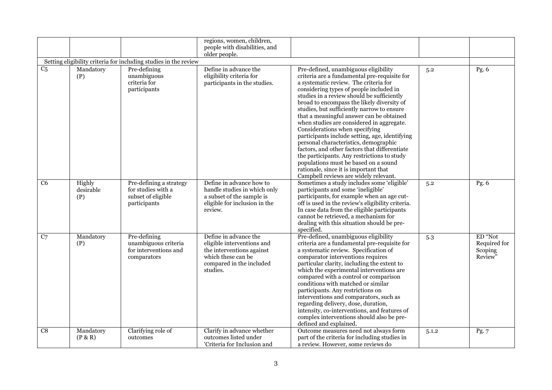|                |                            |                                                                                     | regions, women, children,<br>people with disabilities, and                                                                                     |                                                                                                                                                                                                                                                                                                                                                                                                                                                                                                                                                                                                                                                                                                                                                                    |       |                                               |
|----------------|----------------------------|-------------------------------------------------------------------------------------|------------------------------------------------------------------------------------------------------------------------------------------------|--------------------------------------------------------------------------------------------------------------------------------------------------------------------------------------------------------------------------------------------------------------------------------------------------------------------------------------------------------------------------------------------------------------------------------------------------------------------------------------------------------------------------------------------------------------------------------------------------------------------------------------------------------------------------------------------------------------------------------------------------------------------|-------|-----------------------------------------------|
|                |                            |                                                                                     | older people.                                                                                                                                  |                                                                                                                                                                                                                                                                                                                                                                                                                                                                                                                                                                                                                                                                                                                                                                    |       |                                               |
|                |                            | Setting eligibility criteria for including studies in the review                    |                                                                                                                                                |                                                                                                                                                                                                                                                                                                                                                                                                                                                                                                                                                                                                                                                                                                                                                                    |       |                                               |
| C <sub>5</sub> | Mandatory<br>(P)           | Pre-defining<br>unambiguous<br>criteria for<br>participants                         | Define in advance the<br>eligibility criteria for<br>participants in the studies.                                                              | Pre-defined, unambiguous eligibility<br>criteria are a fundamental pre-requisite for<br>a systematic review. The criteria for<br>considering types of people included in<br>studies in a review should be sufficiently<br>broad to encompass the likely diversity of<br>studies, but sufficiently narrow to ensure<br>that a meaningful answer can be obtained<br>when studies are considered in aggregate.<br>Considerations when specifying<br>participants include setting, age, identifying<br>personal characteristics, demographic<br>factors, and other factors that differentiate<br>the participants. Any restrictions to study<br>populations must be based on a sound<br>rationale, since it is important that<br>Campbell reviews are widely relevant. | 5.2   | Pg. $6$                                       |
| C <sub>6</sub> | Highly<br>desirable<br>(P) | Pre-defining a strategy<br>for studies with a<br>subset of eligible<br>participants | Define in advance how to<br>handle studies in which only<br>a subset of the sample is<br>eligible for inclusion in the<br>review.              | Sometimes a study includes some 'eligible'<br>participants and some 'ineligible'<br>participants, for example when an age cut-<br>off is used in the review's eligibility criteria.<br>In case data from the eligible participants<br>cannot be retrieved, a mechanism for<br>dealing with this situation should be pre-<br>specified.                                                                                                                                                                                                                                                                                                                                                                                                                             | 5.2   | Pg. 6                                         |
| C <sub>7</sub> | Mandatory<br>(P)           | Pre-defining<br>unambiguous criteria<br>for interventions and<br>comparators        | Define in advance the<br>eligible interventions and<br>the interventions against<br>which these can be<br>compared in the included<br>studies. | Pre-defined, unambiguous eligibility<br>criteria are a fundamental pre-requisite for<br>a systematic review. Specification of<br>comparator interventions requires<br>particular clarity, including the extent to<br>which the experimental interventions are<br>compared with a control or comparison<br>conditions with matched or similar<br>participants. Any restrictions on<br>interventions and comparators, such as<br>regarding delivery, dose, duration,<br>intensity, co-interventions, and features of<br>complex interventions should also be pre-<br>defined and explained.                                                                                                                                                                          | 5.3   | ED "Not<br>Required for<br>Scoping<br>Review" |
| C8             | Mandatory<br>(P & R)       | Clarifying role of<br>outcomes                                                      | Clarify in advance whether<br>outcomes listed under<br>'Criteria for Inclusion and                                                             | Outcome measures need not always form<br>part of the criteria for including studies in<br>a review. However, some reviews do                                                                                                                                                                                                                                                                                                                                                                                                                                                                                                                                                                                                                                       | 5.1.2 | Pg.7                                          |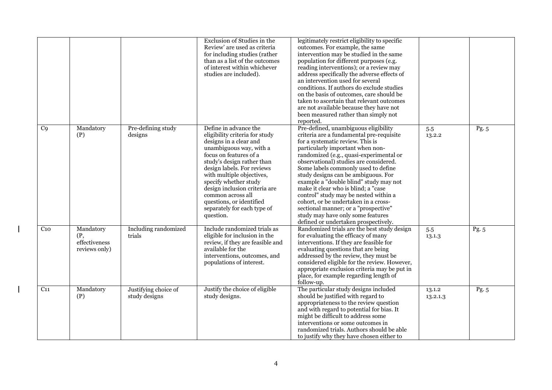|                 |                                                    |                                       | Exclusion of Studies in the<br>Review' are used as criteria<br>for including studies (rather<br>than as a list of the outcomes<br>of interest within whichever<br>studies are included).                                                                                                                                                                                               | legitimately restrict eligibility to specific<br>outcomes. For example, the same<br>intervention may be studied in the same<br>population for different purposes (e.g.<br>reading interventions); or a review may<br>address specifically the adverse effects of<br>an intervention used for several<br>conditions. If authors do exclude studies<br>on the basis of outcomes, care should be<br>taken to ascertain that relevant outcomes<br>are not available because they have not<br>been measured rather than simply not<br>reported.                                                                         |                    |         |
|-----------------|----------------------------------------------------|---------------------------------------|----------------------------------------------------------------------------------------------------------------------------------------------------------------------------------------------------------------------------------------------------------------------------------------------------------------------------------------------------------------------------------------|--------------------------------------------------------------------------------------------------------------------------------------------------------------------------------------------------------------------------------------------------------------------------------------------------------------------------------------------------------------------------------------------------------------------------------------------------------------------------------------------------------------------------------------------------------------------------------------------------------------------|--------------------|---------|
| C <sub>9</sub>  | Mandatory<br>(P)                                   | Pre-defining study<br>designs         | Define in advance the<br>eligibility criteria for study<br>designs in a clear and<br>unambiguous way, with a<br>focus on features of a<br>study's design rather than<br>design labels. For reviews<br>with multiple objectives,<br>specify whether study<br>design inclusion criteria are<br>common across all<br>questions, or identified<br>separately for each type of<br>question. | Pre-defined, unambiguous eligibility<br>criteria are a fundamental pre-requisite<br>for a systematic review. This is<br>particularly important when non-<br>randomized (e.g., quasi-experimental or<br>observational) studies are considered.<br>Some labels commonly used to define<br>study designs can be ambiguous. For<br>example a "double blind" study may not<br>make it clear who is blind; a "case<br>control" study may be nested within a<br>cohort, or be undertaken in a cross-<br>sectional manner; or a "prospective"<br>study may have only some features<br>defined or undertaken prospectively. | 5.5<br>13.2.2      | Pg. $5$ |
| C <sub>10</sub> | Mandatory<br>(P,<br>effectiveness<br>reviews only) | Including randomized<br>trials        | Include randomized trials as<br>eligible for inclusion in the<br>review, if they are feasible and<br>available for the<br>interventions, outcomes, and<br>populations of interest.                                                                                                                                                                                                     | Randomized trials are the best study design<br>for evaluating the efficacy of many<br>interventions. If they are feasible for<br>evaluating questions that are being<br>addressed by the review, they must be<br>considered eligible for the review. However,<br>appropriate exclusion criteria may be put in<br>place, for example regarding length of<br>follow-up.                                                                                                                                                                                                                                              | 5.5<br>13.1.3      | Pg. 5   |
| $C_{11}$        | Mandatory<br>(P)                                   | Justifying choice of<br>study designs | Justify the choice of eligible<br>study designs.                                                                                                                                                                                                                                                                                                                                       | The particular study designs included<br>should be justified with regard to<br>appropriateness to the review question<br>and with regard to potential for bias. It<br>might be difficult to address some<br>interventions or some outcomes in<br>randomized trials. Authors should be able<br>to justify why they have chosen either to                                                                                                                                                                                                                                                                            | 13.1.2<br>13.2.1.3 | Pg. 5   |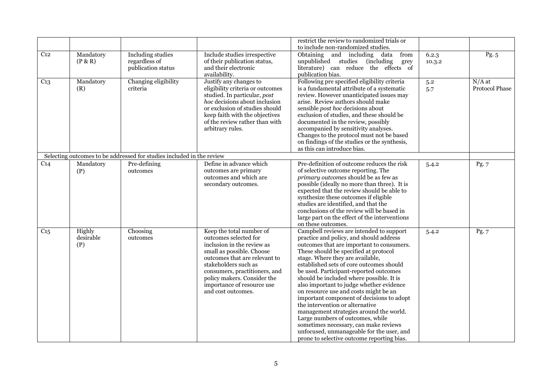|                 |                            |                                                                       |                                                                                                                                                                                                                                                                                           | restrict the review to randomized trials or<br>to include non-randomized studies.                                                                                                                                                                                                                                                                                                                                                                                                                                                                                                                                                                                                                                                       |                 |                            |
|-----------------|----------------------------|-----------------------------------------------------------------------|-------------------------------------------------------------------------------------------------------------------------------------------------------------------------------------------------------------------------------------------------------------------------------------------|-----------------------------------------------------------------------------------------------------------------------------------------------------------------------------------------------------------------------------------------------------------------------------------------------------------------------------------------------------------------------------------------------------------------------------------------------------------------------------------------------------------------------------------------------------------------------------------------------------------------------------------------------------------------------------------------------------------------------------------------|-----------------|----------------------------|
| C <sub>12</sub> | Mandatory<br>(P & R)       | Including studies<br>regardless of<br>publication status              | Include studies irrespective<br>of their publication status,<br>and their electronic<br>availability.                                                                                                                                                                                     | Obtaining and including data<br>from<br>unpublished studies (including<br>grey<br>literature) can reduce the effects of<br>publication bias.                                                                                                                                                                                                                                                                                                                                                                                                                                                                                                                                                                                            | 6.2.3<br>10.3.2 | $\overline{Pg. 5}$         |
| C <sub>13</sub> | Mandatory<br>(R)           | Changing eligibility<br>criteria                                      | Justify any changes to<br>eligibility criteria or outcomes<br>studied. In particular, post<br>hoc decisions about inclusion<br>or exclusion of studies should<br>keep faith with the objectives<br>of the review rather than with<br>arbitrary rules.                                     | Following pre specified eligibility criteria<br>is a fundamental attribute of a systematic<br>review. However unanticipated issues may<br>arise. Review authors should make<br>sensible post hoc decisions about<br>exclusion of studies, and these should be<br>documented in the review, possibly<br>accompanied by sensitivity analyses.<br>Changes to the protocol must not be based<br>on findings of the studies or the synthesis,<br>as this can introduce bias.                                                                                                                                                                                                                                                                 | 5.2<br>5.7      | $N/A$ at<br>Protocol Phase |
|                 |                            | Selecting outcomes to be addressed for studies included in the review |                                                                                                                                                                                                                                                                                           |                                                                                                                                                                                                                                                                                                                                                                                                                                                                                                                                                                                                                                                                                                                                         |                 |                            |
| C <sub>14</sub> | Mandatory<br>(P)           | Pre-defining<br>outcomes                                              | Define in advance which<br>outcomes are primary<br>outcomes and which are<br>secondary outcomes.                                                                                                                                                                                          | Pre-definition of outcome reduces the risk<br>of selective outcome reporting. The<br>primary outcomes should be as few as<br>possible (ideally no more than three). It is<br>expected that the review should be able to<br>synthesize these outcomes if eligible<br>studies are identified, and that the<br>conclusions of the review will be based in<br>large part on the effect of the interventions<br>on these outcomes.                                                                                                                                                                                                                                                                                                           | 5.4.2           | Pg.7                       |
| $C_{15}$        | Highly<br>desirable<br>(P) | Choosing<br>outcomes                                                  | Keep the total number of<br>outcomes selected for<br>inclusion in the review as<br>small as possible. Choose<br>outcomes that are relevant to<br>stakeholders such as<br>consumers, practitioners, and<br>policy makers. Consider the<br>importance of resource use<br>and cost outcomes. | Campbell reviews are intended to support<br>practice and policy, and should address<br>outcomes that are important to consumers.<br>These should be specified at protocol<br>stage. Where they are available,<br>established sets of core outcomes should<br>be used. Participant-reported outcomes<br>should be included where possible. It is<br>also important to judge whether evidence<br>on resource use and costs might be an<br>important component of decisions to adopt<br>the intervention or alternative<br>management strategies around the world.<br>Large numbers of outcomes, while<br>sometimes necessary, can make reviews<br>unfocused, unmanageable for the user, and<br>prone to selective outcome reporting bias. | 5.4.2           | Pg. 7                      |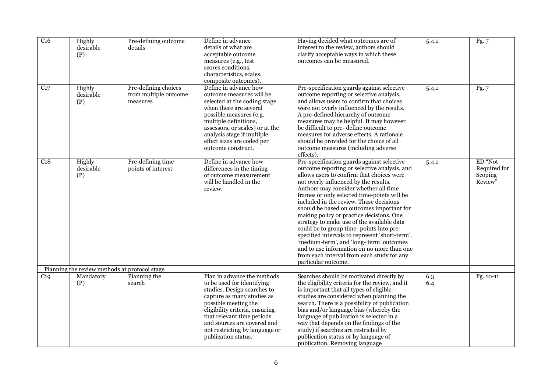| $\overline{C16}$ | Highly<br>desirable<br>(P)                    | Pre-defining outcome<br>details                                | Define in advance<br>details of what are<br>acceptable outcome<br>measures (e.g., test<br>scores conditions,<br>characteristics, scales,<br>composite outcomes).                                                                                                                                       | Having decided what outcomes are of<br>interest to the review, authors should<br>clarify acceptable ways in which these<br>outcomes can be measured.                                                                                                                                                                                                                                                                                                                                                                                                                                                                                                                                                                   | 5.4.1      | Pg. 7                                         |
|------------------|-----------------------------------------------|----------------------------------------------------------------|--------------------------------------------------------------------------------------------------------------------------------------------------------------------------------------------------------------------------------------------------------------------------------------------------------|------------------------------------------------------------------------------------------------------------------------------------------------------------------------------------------------------------------------------------------------------------------------------------------------------------------------------------------------------------------------------------------------------------------------------------------------------------------------------------------------------------------------------------------------------------------------------------------------------------------------------------------------------------------------------------------------------------------------|------------|-----------------------------------------------|
| C <sub>17</sub>  | Highly<br>desirable<br>(P)                    | Pre-defining choices<br>from multiple outcome<br>$\,$ measures | Define in advance how<br>outcome measures will be<br>selected at the coding stage<br>when there are several<br>possible measures (e.g.<br>multiple definitions,<br>assessors, or scales) or at the<br>analysis stage if multiple<br>effect sizes are coded per<br>outcome construct.                   | Pre-specification guards against selective<br>outcome reporting or selective analysis,<br>and allows users to confirm that choices<br>were not overly influenced by the results.<br>A pre-defined hierarchy of outcome<br>measures may be helpful. It may however<br>be difficult to pre- define outcome<br>measures for adverse effects. A rationale<br>should be provided for the choice of all<br>outcome measures (including adverse<br>effects).                                                                                                                                                                                                                                                                  | 5.4.1      | Pg.7                                          |
| C <sub>18</sub>  | Highly<br>desirable<br>(P)                    | Pre-defining time<br>points of interest                        | Define in advance how<br>differences in the timing<br>of outcome measurement<br>will be handled in the<br>review.                                                                                                                                                                                      | Pre-specification guards against selective<br>outcome reporting or selective analysis, and<br>allows users to confirm that choices were<br>not overly influenced by the results.<br>Authors may consider whether all time<br>frames or only selected time-points will be<br>included in the review. These decisions<br>should be based on outcomes important for<br>making policy or practice decisions. One<br>strategy to make use of the available data<br>could be to group time- points into pre-<br>specified intervals to represent 'short-term',<br>'medium-term', and 'long-term' outcomes<br>and to use information on no more than one<br>from each interval from each study for any<br>particular outcome. | 5.4.1      | ED "Not<br>Required for<br>Scoping<br>Review" |
|                  | Planning the review methods at protocol stage |                                                                |                                                                                                                                                                                                                                                                                                        |                                                                                                                                                                                                                                                                                                                                                                                                                                                                                                                                                                                                                                                                                                                        |            |                                               |
| C <sub>19</sub>  | Mandatory<br>(P)                              | Planning the<br>search                                         | Plan in advance the methods<br>to be used for identifying<br>studies. Design searches to<br>capture as many studies as<br>possible meeting the<br>eligibility criteria, ensuring<br>that relevant time periods<br>and sources are covered and<br>not restricting by language or<br>publication status. | Searches should be motivated directly by<br>the eligibility criteria for the review, and it<br>is important that all types of eligible<br>studies are considered when planning the<br>search. There is a possibility of publication<br>bias and/or language bias (whereby the<br>language of publication is selected in a<br>way that depends on the findings of the<br>study) if searches are restricted by<br>publication status or by language of<br>publication. Removing language                                                                                                                                                                                                                                 | 6.3<br>6.4 | Pg. 10-11                                     |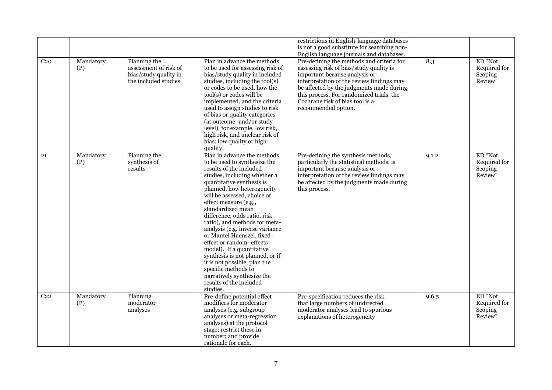|                 |                  |                                                                                        |                                                                                                                                                                                                                                                                                                                                                                                                                                                                                                                                                                                                                           | restrictions in English-language databases<br>is not a good substitute for searching non-<br>English language journals and databases.                                                                                                                                                                                |       |                                               |
|-----------------|------------------|----------------------------------------------------------------------------------------|---------------------------------------------------------------------------------------------------------------------------------------------------------------------------------------------------------------------------------------------------------------------------------------------------------------------------------------------------------------------------------------------------------------------------------------------------------------------------------------------------------------------------------------------------------------------------------------------------------------------------|----------------------------------------------------------------------------------------------------------------------------------------------------------------------------------------------------------------------------------------------------------------------------------------------------------------------|-------|-----------------------------------------------|
| C <sub>20</sub> | Mandatory<br>(P) | Planning the<br>assessment of risk of<br>bias/study quality in<br>the included studies | Plan in advance the methods<br>to be used for assessing risk of<br>bias/study quality in included<br>studies, including the tool(s)<br>or codes to be used, how the<br>tool(s) or codes will be<br>implemented, and the criteria<br>used to assign studies to risk<br>of bias or quality categories<br>(at outcome- and/or study-<br>level), for example, low risk,<br>high risk, and unclear risk of<br>bias; low quality or high<br>quality.                                                                                                                                                                            | Pre-defining the methods and criteria for<br>assessing risk of bias/study quality is<br>important because analysis or<br>interpretation of the review findings may<br>be affected by the judgments made during<br>this process. For randomized trials, the<br>Cochrane risk of bias tool is a<br>recommended option. | 8.3   | ED "Not<br>Required for<br>Scoping<br>Review" |
| 21              | Mandatory<br>(P) | Planning the<br>synthesis of<br>results                                                | Plan in advance the methods<br>to be used to synthesize the<br>results of the included<br>studies, including whether a<br>quantitative synthesis is<br>planned, how heterogeneity<br>will be assessed, choice of<br>effect measure (e.g.,<br>standardized mean<br>difference, odds ratio, risk<br>ratio), and methods for meta-<br>analysis (e.g. inverse variance<br>or Mantel Haenszel, fixed-<br>effect or random- effects<br>model). If a quantitative<br>synthesis is not planned, or if<br>it is not possible, plan the<br>specific methods to<br>narratively synthesize the<br>results of the included<br>studies. | Pre-defining the synthesis methods,<br>particularly the statistical methods, is<br>important because analysis or<br>interpretation of the review findings may<br>be affected by the judgments made during<br>this process.                                                                                           | 9.1.2 | ED "Not<br>Required for<br>Scoping<br>Review" |
| C <sub>22</sub> | Mandatory<br>(P) | Planning<br>$\,$ moderator<br>analyses                                                 | Pre-define potential effect<br>modifiers for moderator<br>analyses (e.g. subgroup<br>analyses or meta-regression<br>analyses) at the protocol<br>stage; restrict these in<br>number; and provide<br>rationale for each.                                                                                                                                                                                                                                                                                                                                                                                                   | Pre-specification reduces the risk<br>that large numbers of undirected<br>moderator analyses lead to spurious<br>explanations of heterogeneity                                                                                                                                                                       | 9.6.5 | ED "Not<br>Required for<br>Scoping<br>Review" |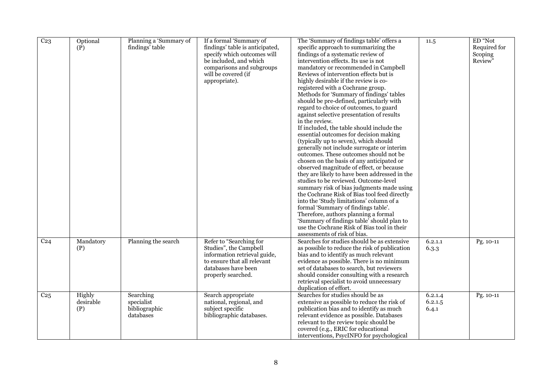| C <sub>23</sub> | Optional<br>(P)            | Planning a 'Summary of<br>findings' table             | If a formal 'Summary of<br>findings' table is anticipated,<br>specify which outcomes will<br>be included, and which<br>comparisons and subgroups<br>will be covered (if<br>appropriate). | The 'Summary of findings table' offers a<br>specific approach to summarizing the<br>findings of a systematic review of<br>intervention effects. Its use is not<br>mandatory or recommended in Campbell<br>Reviews of intervention effects but is<br>highly desirable if the review is co-<br>registered with a Cochrane group.<br>Methods for 'Summary of findings' tables<br>should be pre-defined, particularly with<br>regard to choice of outcomes, to guard<br>against selective presentation of results<br>in the review.<br>If included, the table should include the<br>essential outcomes for decision making<br>(typically up to seven), which should<br>generally not include surrogate or interim<br>outcomes. These outcomes should not be<br>chosen on the basis of any anticipated or<br>observed magnitude of effect, or because<br>they are likely to have been addressed in the<br>studies to be reviewed. Outcome-level<br>summary risk of bias judgments made using<br>the Cochrane Risk of Bias tool feed directly<br>into the 'Study limitations' column of a<br>formal 'Summary of findings table'.<br>Therefore, authors planning a formal<br>'Summary of findings table' should plan to<br>use the Cochrane Risk of Bias tool in their<br>assessments of risk of bias. | 11.5                        | ED "Not<br>Required for<br>Scoping<br>Review" |
|-----------------|----------------------------|-------------------------------------------------------|------------------------------------------------------------------------------------------------------------------------------------------------------------------------------------------|-------------------------------------------------------------------------------------------------------------------------------------------------------------------------------------------------------------------------------------------------------------------------------------------------------------------------------------------------------------------------------------------------------------------------------------------------------------------------------------------------------------------------------------------------------------------------------------------------------------------------------------------------------------------------------------------------------------------------------------------------------------------------------------------------------------------------------------------------------------------------------------------------------------------------------------------------------------------------------------------------------------------------------------------------------------------------------------------------------------------------------------------------------------------------------------------------------------------------------------------------------------------------------------------------|-----------------------------|-----------------------------------------------|
| C <sub>24</sub> | Mandatory<br>(P)           | Planning the search                                   | Refer to "Searching for<br>Studies", the Campbell<br>information retrieval guide,<br>to ensure that all relevant<br>databases have been<br>properly searched.                            | Searches for studies should be as extensive<br>as possible to reduce the risk of publication<br>bias and to identify as much relevant<br>evidence as possible. There is no minimum<br>set of databases to search, but reviewers<br>should consider consulting with a research<br>retrieval specialist to avoid unnecessary<br>duplication of effort.                                                                                                                                                                                                                                                                                                                                                                                                                                                                                                                                                                                                                                                                                                                                                                                                                                                                                                                                            | 6.2.1.1<br>6.3.3            | Pg. 10-11                                     |
| C <sub>25</sub> | Highly<br>desirable<br>(P) | Searching<br>specialist<br>bibliographic<br>databases | Search appropriate<br>national, regional, and<br>subject specific<br>bibliographic databases.                                                                                            | Searches for studies should be as<br>extensive as possible to reduce the risk of<br>publication bias and to identify as much<br>relevant evidence as possible. Databases<br>relevant to the review topic should be<br>covered (e.g., ERIC for educational<br>interventions, PsycINFO for psychological                                                                                                                                                                                                                                                                                                                                                                                                                                                                                                                                                                                                                                                                                                                                                                                                                                                                                                                                                                                          | 6.2.1.4<br>6.2.1.5<br>6.4.1 | Pg. 10-11                                     |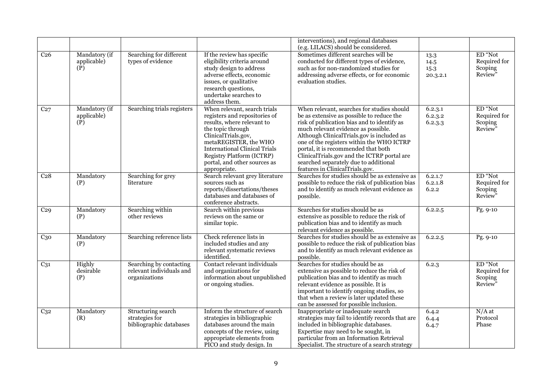|                 |                                     |                                                                      |                                                                                                                                                                                                                                                                                              | interventions), and regional databases<br>(e.g. LILACS) should be considered.                                                                                                                                                                                                                                                                                                                                                              |                                  |                                               |
|-----------------|-------------------------------------|----------------------------------------------------------------------|----------------------------------------------------------------------------------------------------------------------------------------------------------------------------------------------------------------------------------------------------------------------------------------------|--------------------------------------------------------------------------------------------------------------------------------------------------------------------------------------------------------------------------------------------------------------------------------------------------------------------------------------------------------------------------------------------------------------------------------------------|----------------------------------|-----------------------------------------------|
| C <sub>26</sub> | Mandatory (if<br>applicable)<br>(P) | Searching for different<br>types of evidence                         | If the review has specific<br>eligibility criteria around<br>study design to address<br>adverse effects, economic<br>issues, or qualitative<br>research questions,<br>undertake searches to<br>address them.                                                                                 | Sometimes different searches will be<br>conducted for different types of evidence,<br>such as for non-randomized studies for<br>addressing adverse effects, or for economic<br>evaluation studies.                                                                                                                                                                                                                                         | 13.3<br>14.5<br>15.3<br>20.3.2.1 | ED "Not<br>Required for<br>Scoping<br>Review" |
| C27             | Mandatory (if<br>applicable)<br>(P) | Searching trials registers                                           | When relevant, search trials<br>registers and repositories of<br>results, where relevant to<br>the topic through<br>ClinicalTrials.gov,<br>metaREGISTER, the WHO<br><b>International Clinical Trials</b><br><b>Registry Platform (ICTRP)</b><br>portal, and other sources as<br>appropriate. | When relevant, searches for studies should<br>be as extensive as possible to reduce the<br>risk of publication bias and to identify as<br>much relevant evidence as possible.<br>Although ClinicalTrials.gov is included as<br>one of the registers within the WHO ICTRP<br>portal, it is recommended that both<br>ClinicalTrials.gov and the ICTRP portal are<br>searched separately due to additional<br>features in ClinicalTrials.gov. | 6.2.3.1<br>6.2.3.2<br>6.2.3.3    | ED "Not<br>Required for<br>Scoping<br>Review" |
| C <sub>28</sub> | Mandatory<br>(P)                    | Searching for grey<br>literature                                     | Search relevant grey literature<br>sources such as<br>reports/dissertations/theses<br>databases and databases of<br>conference abstracts.                                                                                                                                                    | Searches for studies should be as extensive as<br>possible to reduce the risk of publication bias<br>and to identify as much relevant evidence as<br>possible.                                                                                                                                                                                                                                                                             | 6.2.1.7<br>6.2.1.8<br>6.2.2      | ED "Not<br>Required for<br>Scoping<br>Review" |
| C <sub>29</sub> | Mandatory<br>(P)                    | Searching within<br>other reviews                                    | Search within previous<br>reviews on the same or<br>similar topic.                                                                                                                                                                                                                           | Searches for studies should be as<br>extensive as possible to reduce the risk of<br>publication bias and to identify as much<br>relevant evidence as possible.                                                                                                                                                                                                                                                                             | 6.2.2.5                          | Pg. 9-10                                      |
| $C_{30}$        | Mandatory<br>(P)                    | Searching reference lists                                            | Check reference lists in<br>included studies and any<br>relevant systematic reviews<br>identified.                                                                                                                                                                                           | Searches for studies should be as extensive as<br>possible to reduce the risk of publication bias<br>and to identify as much relevant evidence as<br>possible.                                                                                                                                                                                                                                                                             | 6.2.2.5                          | Pg. 9-10                                      |
| $C_{31}$        | Highly<br>desirable<br>(P)          | Searching by contacting<br>relevant individuals and<br>organizations | Contact relevant individuals<br>and organizations for<br>information about unpublished<br>or ongoing studies.                                                                                                                                                                                | Searches for studies should be as<br>extensive as possible to reduce the risk of<br>publication bias and to identify as much<br>relevant evidence as possible. It is<br>important to identify ongoing studies, so<br>that when a review is later updated these<br>can be assessed for possible inclusion.                                                                                                                                  | 6.2.3                            | ED "Not<br>Required for<br>Scoping<br>Review" |
| C <sub>32</sub> | Mandatory<br>(R)                    | Structuring search<br>strategies for<br>bibliographic databases      | Inform the structure of search<br>strategies in bibliographic<br>databases around the main<br>concepts of the review, using<br>appropriate elements from<br>PICO and study design. In                                                                                                        | Inappropriate or inadequate search<br>strategies may fail to identify records that are<br>included in bibliographic databases.<br>Expertise may need to be sought, in<br>particular from an Information Retrieval<br>Specialist. The structure of a search strategy                                                                                                                                                                        | 6.4.2<br>6.4.4<br>6.4.7          | $N/A$ at<br>Protocol<br>Phase                 |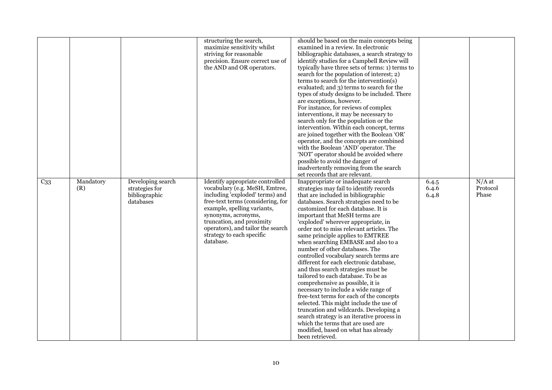|                 |                  |                                                                   | structuring the search,<br>maximize sensitivity whilst<br>striving for reasonable<br>precision. Ensure correct use of<br>the AND and OR operators.                                                                                                                                                          | should be based on the main concepts being<br>examined in a review. In electronic<br>bibliographic databases, a search strategy to<br>identify studies for a Campbell Review will<br>typically have three sets of terms: 1) terms to<br>search for the population of interest; 2)<br>terms to search for the intervention(s)<br>evaluated; and 3) terms to search for the<br>types of study designs to be included. There<br>are exceptions, however.<br>For instance, for reviews of complex<br>interventions, it may be necessary to<br>search only for the population or the<br>intervention. Within each concept, terms<br>are joined together with the Boolean 'OR'<br>operator, and the concepts are combined<br>with the Boolean 'AND' operator. The<br>'NOT' operator should be avoided where<br>possible to avoid the danger of<br>inadvertently removing from the search<br>set records that are relevant.                                               |                         |                               |
|-----------------|------------------|-------------------------------------------------------------------|-------------------------------------------------------------------------------------------------------------------------------------------------------------------------------------------------------------------------------------------------------------------------------------------------------------|--------------------------------------------------------------------------------------------------------------------------------------------------------------------------------------------------------------------------------------------------------------------------------------------------------------------------------------------------------------------------------------------------------------------------------------------------------------------------------------------------------------------------------------------------------------------------------------------------------------------------------------------------------------------------------------------------------------------------------------------------------------------------------------------------------------------------------------------------------------------------------------------------------------------------------------------------------------------|-------------------------|-------------------------------|
| C <sub>33</sub> | Mandatory<br>(R) | Developing search<br>strategies for<br>bibliographic<br>databases | Identify appropriate controlled<br>vocabulary (e.g. MeSH, Emtree,<br>including 'exploded' terms) and<br>free-text terms (considering, for<br>example, spelling variants,<br>synonyms, acronyms,<br>truncation, and proximity<br>operators), and tailor the search<br>strategy to each specific<br>database. | Inappropriate or inadequate search<br>strategies may fail to identify records<br>that are included in bibliographic<br>databases. Search strategies need to be<br>customized for each database. It is<br>important that MeSH terms are<br>'exploded' wherever appropriate, in<br>order not to miss relevant articles. The<br>same principle applies to EMTREE<br>when searching EMBASE and also to a<br>number of other databases. The<br>controlled vocabulary search terms are<br>different for each electronic database,<br>and thus search strategies must be<br>tailored to each database. To be as<br>comprehensive as possible, it is<br>necessary to include a wide range of<br>free-text terms for each of the concepts<br>selected. This might include the use of<br>truncation and wildcards. Developing a<br>search strategy is an iterative process in<br>which the terms that are used are<br>modified, based on what has already<br>been retrieved. | 6.4.5<br>6.4.6<br>6.4.8 | $N/A$ at<br>Protocol<br>Phase |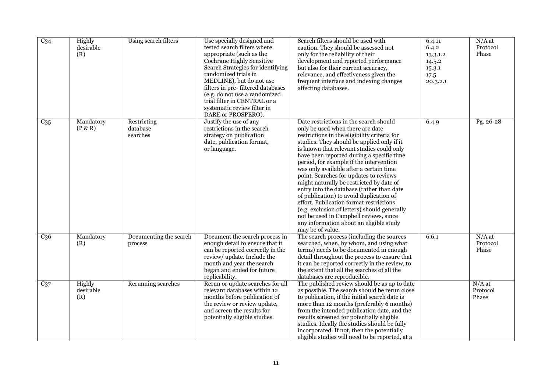| C <sub>34</sub> | Highly<br>desirable<br>(R) | Using search filters                | Use specially designed and<br>tested search filters where<br>appropriate (such as the<br>Cochrane Highly Sensitive<br>Search Strategies for identifying<br>randomized trials in<br>MEDLINE), but do not use<br>filters in pre-filtered databases<br>(e.g. do not use a randomized<br>trial filter in CENTRAL or a<br>systematic review filter in<br>DARE or PROSPERO). | Search filters should be used with<br>caution. They should be assessed not<br>only for the reliability of their<br>development and reported performance<br>but also for their current accuracy,<br>relevance, and effectiveness given the<br>frequent interface and indexing changes<br>affecting databases.                                                                                                                                                                                                                                                                                                                                                                                                                               | 6.4.11<br>6.4.2<br>13.3.1.2<br>14.5.2<br>15.3.1<br>17.5<br>20.3.2.1 | $N/A$ at<br>Protocol<br>Phase |
|-----------------|----------------------------|-------------------------------------|------------------------------------------------------------------------------------------------------------------------------------------------------------------------------------------------------------------------------------------------------------------------------------------------------------------------------------------------------------------------|--------------------------------------------------------------------------------------------------------------------------------------------------------------------------------------------------------------------------------------------------------------------------------------------------------------------------------------------------------------------------------------------------------------------------------------------------------------------------------------------------------------------------------------------------------------------------------------------------------------------------------------------------------------------------------------------------------------------------------------------|---------------------------------------------------------------------|-------------------------------|
| C <sub>35</sub> | Mandatory<br>(P & R)       | Restricting<br>database<br>searches | Justify the use of any<br>restrictions in the search<br>strategy on publication<br>date, publication format,<br>or language.                                                                                                                                                                                                                                           | Date restrictions in the search should<br>only be used when there are date<br>restrictions in the eligibility criteria for<br>studies. They should be applied only if it<br>is known that relevant studies could only<br>have been reported during a specific time<br>period, for example if the intervention<br>was only available after a certain time<br>point. Searches for updates to reviews<br>might naturally be restricted by date of<br>entry into the database (rather than date<br>of publication) to avoid duplication of<br>effort. Publication format restrictions<br>(e.g. exclusion of letters) should generally<br>not be used in Campbell reviews, since<br>any information about an eligible study<br>may be of value. | 6.4.9                                                               | Pg. 26-28                     |
| C <sub>36</sub> | Mandatory<br>(R)           | Documenting the search<br>process   | Document the search process in<br>enough detail to ensure that it<br>can be reported correctly in the<br>review/ update. Include the<br>month and year the search<br>began and ended for future<br>replicability.                                                                                                                                                      | The search process (including the sources<br>searched, when, by whom, and using what<br>terms) needs to be documented in enough<br>detail throughout the process to ensure that<br>it can be reported correctly in the review, to<br>the extent that all the searches of all the<br>databases are reproducible.                                                                                                                                                                                                                                                                                                                                                                                                                            | 6.6.1                                                               | $N/A$ at<br>Protocol<br>Phase |
| $C_{37}$        | Highly<br>desirable<br>(R) | Rerunning searches                  | Rerun or update searches for all<br>relevant databases within 12<br>months before publication of<br>the review or review update,<br>and screen the results for<br>potentially eligible studies.                                                                                                                                                                        | The published review should be as up to date<br>as possible. The search should be rerun close<br>to publication, if the initial search date is<br>more than 12 months (preferably 6 months)<br>from the intended publication date, and the<br>results screened for potentially eligible<br>studies. Ideally the studies should be fully<br>incorporated. If not, then the potentially<br>eligible studies will need to be reported, at a                                                                                                                                                                                                                                                                                                   |                                                                     | $N/A$ at<br>Protocol<br>Phase |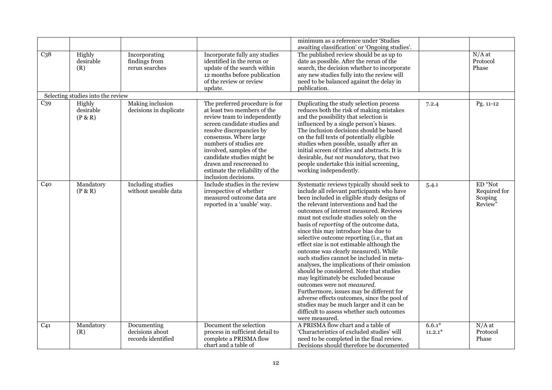|                 |                                   |                                                      |                                                                                                                                                                                                                                                                                                                                                               | minimum as a reference under 'Studies                                                                                                                                                                                                                                                                                                                                                                                                                                                                                                                                                                                                                                                                                                                                                                                                                                                                                   |                       |                                               |
|-----------------|-----------------------------------|------------------------------------------------------|---------------------------------------------------------------------------------------------------------------------------------------------------------------------------------------------------------------------------------------------------------------------------------------------------------------------------------------------------------------|-------------------------------------------------------------------------------------------------------------------------------------------------------------------------------------------------------------------------------------------------------------------------------------------------------------------------------------------------------------------------------------------------------------------------------------------------------------------------------------------------------------------------------------------------------------------------------------------------------------------------------------------------------------------------------------------------------------------------------------------------------------------------------------------------------------------------------------------------------------------------------------------------------------------------|-----------------------|-----------------------------------------------|
| C <sub>38</sub> | Highly<br>desirable<br>(R)        | Incorporating<br>findings from<br>rerun searches     | Incorporate fully any studies<br>identified in the rerun or<br>update of the search within<br>12 months before publication<br>of the review or review<br>update.                                                                                                                                                                                              | awaiting classification' or 'Ongoing studies'.<br>The published review should be as up to<br>date as possible. After the rerun of the<br>search, the decision whether to incorporate<br>any new studies fully into the review will<br>need to be balanced against the delay in<br>publication.                                                                                                                                                                                                                                                                                                                                                                                                                                                                                                                                                                                                                          |                       | $N/A$ at<br>Protocol<br>Phase                 |
|                 | Selecting studies into the review |                                                      |                                                                                                                                                                                                                                                                                                                                                               |                                                                                                                                                                                                                                                                                                                                                                                                                                                                                                                                                                                                                                                                                                                                                                                                                                                                                                                         |                       |                                               |
| C <sub>39</sub> | Highly<br>desirable<br>(P & R)    | Making inclusion<br>decisions in duplicate           | The preferred procedure is for<br>at least two members of the<br>review team to independently<br>screen candidate studies and<br>resolve discrepancies by<br>consensus. Where large<br>numbers of studies are<br>involved, samples of the<br>candidate studies might be<br>drawn and rescreened to<br>estimate the reliability of the<br>inclusion decisions. | Duplicating the study selection process<br>reduces both the risk of making mistakes<br>and the possibility that selection is<br>influenced by a single person's biases.<br>The inclusion decisions should be based<br>on the full texts of potentially eligible<br>studies when possible, usually after an<br>initial screen of titles and abstracts. It is<br>desirable, but not mandatory, that two<br>people undertake this initial screening,<br>working independently.                                                                                                                                                                                                                                                                                                                                                                                                                                             | 7.2.4                 | Pg. 11-12                                     |
| C <sub>40</sub> | Mandatory<br>(P & R)              | <b>Including studies</b><br>without useable data     | Include studies in the review<br>irrespective of whether<br>measured outcome data are<br>reported in a 'usable' way.                                                                                                                                                                                                                                          | Systematic reviews typically should seek to<br>include all relevant participants who have<br>been included in eligible study designs of<br>the relevant interventions and had the<br>outcomes of interest measured. Reviews<br>must not exclude studies solely on the<br>basis of reporting of the outcome data,<br>since this may introduce bias due to<br>selective outcome reporting (i.e., that an<br>effect size is not estimable although the<br>outcome was clearly measured). While<br>such studies cannot be included in meta-<br>analyses, the implications of their omission<br>should be considered. Note that studies<br>may legitimately be excluded because<br>outcomes were not <i>measured</i> .<br>Furthermore, issues may be different for<br>adverse effects outcomes, since the pool of<br>studies may be much larger and it can be<br>difficult to assess whether such outcomes<br>were measured. | 5.4.1                 | ED "Not<br>Required for<br>Scoping<br>Review" |
| C <sub>41</sub> | Mandatory<br>(R)                  | Documenting<br>decisions about<br>records identified | Document the selection<br>process in sufficient detail to<br>complete a PRISMA flow<br>chart and a table of                                                                                                                                                                                                                                                   | A PRISMA flow chart and a table of<br>'Characteristics of excluded studies' will<br>need to be completed in the final review.<br>Decisions should therefore be documented                                                                                                                                                                                                                                                                                                                                                                                                                                                                                                                                                                                                                                                                                                                                               | $6.6.1*$<br>$11.2.1*$ | $N/A$ at<br>Protocol<br>Phase                 |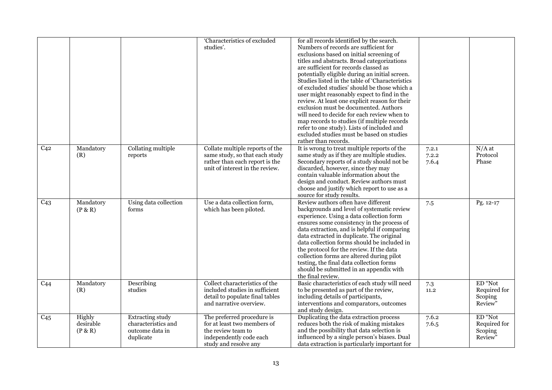|                 |                                |                                                                                | 'Characteristics of excluded<br>studies'.                                                                                              | for all records identified by the search.<br>Numbers of records are sufficient for<br>exclusions based on initial screening of<br>titles and abstracts. Broad categorizations<br>are sufficient for records classed as<br>potentially eligible during an initial screen.<br>Studies listed in the table of 'Characteristics<br>of excluded studies' should be those which a<br>user might reasonably expect to find in the<br>review. At least one explicit reason for their<br>exclusion must be documented. Authors<br>will need to decide for each review when to<br>map records to studies (if multiple records<br>refer to one study). Lists of included and<br>excluded studies must be based on studies<br>rather than records. |                         |                                               |
|-----------------|--------------------------------|--------------------------------------------------------------------------------|----------------------------------------------------------------------------------------------------------------------------------------|----------------------------------------------------------------------------------------------------------------------------------------------------------------------------------------------------------------------------------------------------------------------------------------------------------------------------------------------------------------------------------------------------------------------------------------------------------------------------------------------------------------------------------------------------------------------------------------------------------------------------------------------------------------------------------------------------------------------------------------|-------------------------|-----------------------------------------------|
| C <sub>42</sub> | Mandatory<br>(R)               | Collating multiple<br>reports                                                  | Collate multiple reports of the<br>same study, so that each study<br>rather than each report is the<br>unit of interest in the review. | It is wrong to treat multiple reports of the<br>same study as if they are multiple studies.<br>Secondary reports of a study should not be<br>discarded, however, since they may<br>contain valuable information about the<br>design and conduct. Review authors must<br>choose and justify which report to use as a<br>source for study results.                                                                                                                                                                                                                                                                                                                                                                                       | 7.2.1<br>7.2.2<br>7.6.4 | $N/A$ at<br>Protocol<br>Phase                 |
| C <sub>43</sub> | Mandatory<br>(P & R)           | Using data collection<br>forms                                                 | Use a data collection form,<br>which has been piloted.                                                                                 | Review authors often have different<br>backgrounds and level of systematic review<br>experience. Using a data collection form<br>ensures some consistency in the process of<br>data extraction, and is helpful if comparing<br>data extracted in duplicate. The original<br>data collection forms should be included in<br>the protocol for the review. If the data<br>collection forms are altered during pilot<br>testing, the final data collection forms<br>should be submitted in an appendix with<br>the final review.                                                                                                                                                                                                           | 7.5                     | Pg. 12-17                                     |
| C <sub>44</sub> | Mandatory<br>(R)               | Describing<br>studies                                                          | Collect characteristics of the<br>included studies in sufficient<br>detail to populate final tables<br>and narrative overview.         | Basic characteristics of each study will need<br>to be presented as part of the review,<br>including details of participants,<br>interventions and comparators, outcomes<br>and study design.                                                                                                                                                                                                                                                                                                                                                                                                                                                                                                                                          | $7.3\,$<br>11.2         | ED "Not<br>Required for<br>Scoping<br>Review" |
| C <sub>45</sub> | Highly<br>desirable<br>(P & R) | <b>Extracting study</b><br>characteristics and<br>outcome data in<br>duplicate | The preferred procedure is<br>for at least two members of<br>the review team to<br>independently code each<br>study and resolve any    | Duplicating the data extraction process<br>reduces both the risk of making mistakes<br>and the possibility that data selection is<br>influenced by a single person's biases. Dual<br>data extraction is particularly important for                                                                                                                                                                                                                                                                                                                                                                                                                                                                                                     | 7.6.2<br>7.6.5          | ED "Not<br>Required for<br>Scoping<br>Review" |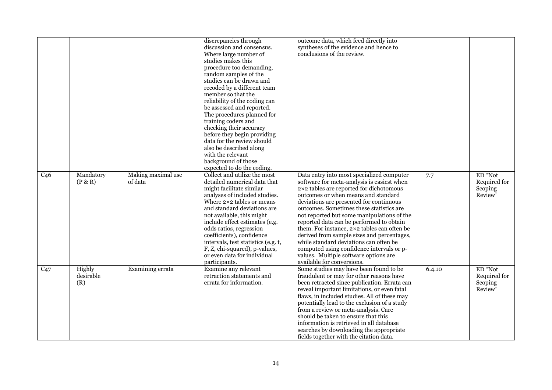|                 |                            |                               | discrepancies through<br>discussion and consensus.<br>Where large number of<br>studies makes this<br>procedure too demanding,<br>random samples of the<br>studies can be drawn and<br>recoded by a different team<br>member so that the<br>reliability of the coding can<br>be assessed and reported.<br>The procedures planned for<br>training coders and<br>checking their accuracy<br>before they begin providing<br>data for the review should<br>also be described along<br>with the relevant<br>background of those<br>expected to do the coding. | outcome data, which feed directly into<br>syntheses of the evidence and hence to<br>conclusions of the review.                                                                                                                                                                                                                                                                                                                                                                                                                                                                                                        |        |                                               |
|-----------------|----------------------------|-------------------------------|---------------------------------------------------------------------------------------------------------------------------------------------------------------------------------------------------------------------------------------------------------------------------------------------------------------------------------------------------------------------------------------------------------------------------------------------------------------------------------------------------------------------------------------------------------|-----------------------------------------------------------------------------------------------------------------------------------------------------------------------------------------------------------------------------------------------------------------------------------------------------------------------------------------------------------------------------------------------------------------------------------------------------------------------------------------------------------------------------------------------------------------------------------------------------------------------|--------|-----------------------------------------------|
| C <sub>46</sub> | Mandatory<br>(P & R)       | Making maximal use<br>of data | Collect and utilize the most<br>detailed numerical data that<br>might facilitate similar<br>analyses of included studies.<br>Where 2×2 tables or means<br>and standard deviations are<br>not available, this might<br>include effect estimates (e.g.<br>odds ratios, regression<br>coefficients), confidence<br>intervals, test statistics (e.g. t,<br>F, Z, chi-squared), p-values,<br>or even data for individual<br>participants.                                                                                                                    | Data entry into most specialized computer<br>software for meta-analysis is easiest when<br>2×2 tables are reported for dichotomous<br>outcomes or when means and standard<br>deviations are presented for continuous<br>outcomes. Sometimes these statistics are<br>not reported but some manipulations of the<br>reported data can be performed to obtain<br>them. For instance, 2×2 tables can often be<br>derived from sample sizes and percentages,<br>while standard deviations can often be<br>computed using confidence intervals or p-<br>values. Multiple software options are<br>available for conversions. | 7.7    | ED "Not<br>Required for<br>Scoping<br>Review" |
| $C_{47}$        | Highly<br>desirable<br>(R) | Examining errata              | Examine any relevant<br>retraction statements and<br>errata for information.                                                                                                                                                                                                                                                                                                                                                                                                                                                                            | Some studies may have been found to be<br>fraudulent or may for other reasons have<br>been retracted since publication. Errata can<br>reveal important limitations, or even fatal<br>flaws, in included studies. All of these may<br>potentially lead to the exclusion of a study<br>from a review or meta-analysis. Care<br>should be taken to ensure that this<br>information is retrieved in all database<br>searches by downloading the appropriate<br>fields together with the citation data.                                                                                                                    | 6.4.10 | ED "Not<br>Required for<br>Scoping<br>Review" |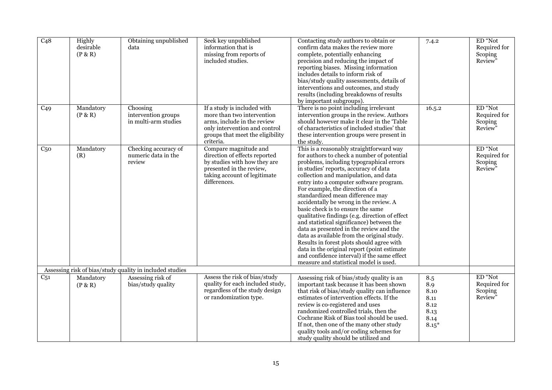| C48             | Highly<br>desirable<br>(P & R) | Obtaining unpublished<br>data                            | Seek key unpublished<br>information that is<br>missing from reports of<br>included studies.                                                                                | Contacting study authors to obtain or<br>confirm data makes the review more<br>complete, potentially enhancing<br>precision and reducing the impact of<br>reporting biases. Missing information<br>includes details to inform risk of<br>bias/study quality assessments, details of<br>interventions and outcomes, and study<br>results (including breakdowns of results<br>by important subgroups).                                                                                                                                                                                                                                                                                                                                                                                               | 7.4.2                                                         | ED "Not<br>Required for<br>Scoping<br>Review" |
|-----------------|--------------------------------|----------------------------------------------------------|----------------------------------------------------------------------------------------------------------------------------------------------------------------------------|----------------------------------------------------------------------------------------------------------------------------------------------------------------------------------------------------------------------------------------------------------------------------------------------------------------------------------------------------------------------------------------------------------------------------------------------------------------------------------------------------------------------------------------------------------------------------------------------------------------------------------------------------------------------------------------------------------------------------------------------------------------------------------------------------|---------------------------------------------------------------|-----------------------------------------------|
| C <sub>49</sub> | Mandatory<br>(P & R)           | Choosing<br>intervention groups<br>in multi-arm studies  | If a study is included with<br>more than two intervention<br>arms, include in the review<br>only intervention and control<br>groups that meet the eligibility<br>criteria. | There is no point including irrelevant<br>intervention groups in the review. Authors<br>should however make it clear in the 'Table<br>of characteristics of included studies' that<br>these intervention groups were present in<br>the study.                                                                                                                                                                                                                                                                                                                                                                                                                                                                                                                                                      | 16.5.2                                                        | ED "Not<br>Required for<br>Scoping<br>Review" |
| C <sub>50</sub> | Mandatory<br>(R)               | Checking accuracy of<br>numeric data in the<br>review    | Compare magnitude and<br>direction of effects reported<br>by studies with how they are<br>presented in the review,<br>taking account of legitimate<br>differences.         | This is a reasonably straightforward way<br>for authors to check a number of potential<br>problems, including typographical errors<br>in studies' reports, accuracy of data<br>collection and manipulation, and data<br>entry into a computer software program.<br>For example, the direction of a<br>standardized mean difference may<br>accidentally be wrong in the review. A<br>basic check is to ensure the same<br>qualitative findings (e.g. direction of effect<br>and statistical significance) between the<br>data as presented in the review and the<br>data as available from the original study.<br>Results in forest plots should agree with<br>data in the original report (point estimate<br>and confidence interval) if the same effect<br>measure and statistical model is used. |                                                               | ED "Not<br>Required for<br>Scoping<br>Review" |
|                 |                                | Assessing risk of bias/study quality in included studies |                                                                                                                                                                            |                                                                                                                                                                                                                                                                                                                                                                                                                                                                                                                                                                                                                                                                                                                                                                                                    |                                                               |                                               |
| C <sub>51</sub> | Mandatory<br>(P & R)           | Assessing risk of<br>bias/study quality                  | Assess the risk of bias/study<br>quality for each included study,<br>regardless of the study design<br>or randomization type.                                              | Assessing risk of bias/study quality is an<br>important task because it has been shown<br>that risk of bias/study quality can influence<br>estimates of intervention effects. If the<br>review is co-registered and uses<br>randomized controlled trials, then the<br>Cochrane Risk of Bias tool should be used.<br>If not, then one of the many other study<br>quality tools and/or coding schemes for<br>study quality should be utilized and                                                                                                                                                                                                                                                                                                                                                    | 8.5<br>8.9<br>8.10<br>8.11<br>8.12<br>8.13<br>8.14<br>$8.15*$ | ED "Not<br>Required for<br>Scoping<br>Review" |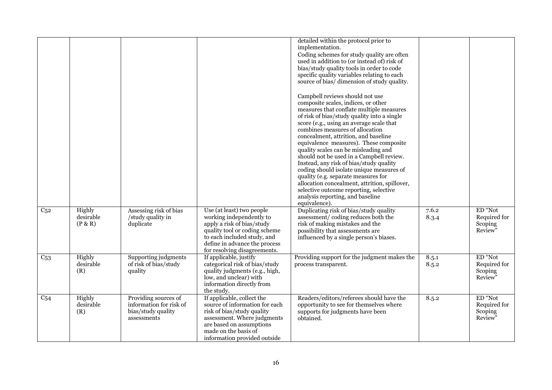|                 |                                |                                                                                      |                                                                                                                                                                                                                      | detailed within the protocol prior to<br>implementation.<br>Coding schemes for study quality are often<br>used in addition to (or instead of) risk of<br>bias/study quality tools in order to code<br>specific quality variables relating to each<br>source of bias/ dimension of study quality.<br>Campbell reviews should not use<br>composite scales, indices, or other<br>measures that conflate multiple measures<br>of risk of bias/study quality into a single<br>score (e.g., using an average scale that<br>combines measures of allocation<br>concealment, attrition, and baseline<br>equivalence measures). These composite<br>quality scales can be misleading and<br>should not be used in a Campbell review.<br>Instead, any risk of bias/study quality<br>coding should isolate unique measures of<br>quality (e.g. separate measures for<br>allocation concealment, attrition, spillover,<br>selective outcome reporting, selective<br>analysis reporting, and baseline<br>equivalence). |                |                                                           |
|-----------------|--------------------------------|--------------------------------------------------------------------------------------|----------------------------------------------------------------------------------------------------------------------------------------------------------------------------------------------------------------------|----------------------------------------------------------------------------------------------------------------------------------------------------------------------------------------------------------------------------------------------------------------------------------------------------------------------------------------------------------------------------------------------------------------------------------------------------------------------------------------------------------------------------------------------------------------------------------------------------------------------------------------------------------------------------------------------------------------------------------------------------------------------------------------------------------------------------------------------------------------------------------------------------------------------------------------------------------------------------------------------------------|----------------|-----------------------------------------------------------|
| C <sub>52</sub> | Highly<br>desirable<br>(P & R) | Assessing risk of bias<br>/study quality in<br>duplicate                             | Use (at least) two people<br>working independently to<br>apply a risk of bias/study<br>quality tool or coding scheme<br>to each included study, and<br>define in advance the process<br>for resolving disagreements. | Duplicating risk of bias/study quality<br>assessment/coding reduces both the<br>risk of making mistakes and the<br>possibility that assessments are<br>influenced by a single person's biases.                                                                                                                                                                                                                                                                                                                                                                                                                                                                                                                                                                                                                                                                                                                                                                                                           | 7.6.2<br>8.3.4 | ED "Not<br>Required for<br>Scoping<br>Review"             |
| C <sub>53</sub> | Highly<br>desirable<br>(R)     | Supporting judgments<br>of risk of bias/study<br>quality                             | If applicable, justify<br>categorical risk of bias/study<br>quality judgments (e.g., high,<br>low, and unclear) with<br>information directly from<br>the study.                                                      | Providing support for the judgment makes the<br>process transparent.                                                                                                                                                                                                                                                                                                                                                                                                                                                                                                                                                                                                                                                                                                                                                                                                                                                                                                                                     | 8.5.1<br>8.5.2 | ED "Not<br>Required for<br>Scoping<br>Review"             |
| C <sub>54</sub> | Highly<br>desirable<br>(R)     | Providing sources of<br>information for risk of<br>bias/study quality<br>assessments | If applicable, collect the<br>source of information for each<br>risk of bias/study quality<br>assessment. Where judgments<br>are based on assumptions<br>made on the basis of<br>information provided outside        | Readers/editors/referees should have the<br>opportunity to see for themselves where<br>supports for judgments have been<br>obtained.                                                                                                                                                                                                                                                                                                                                                                                                                                                                                                                                                                                                                                                                                                                                                                                                                                                                     | 8.5.2          | ED "Not<br>Required for<br>Scoping<br>Review <sup>3</sup> |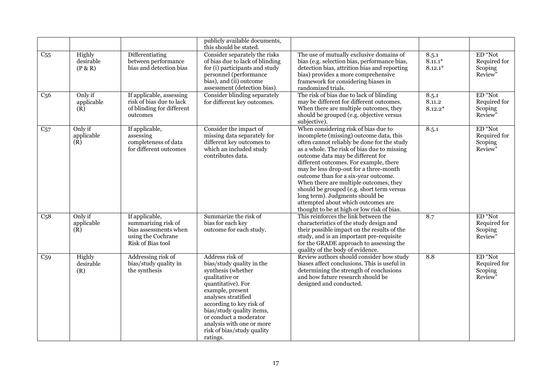|                  |                                |                                                                                                           | publicly available documents,<br>this should be stated.                                                                                                                                                                                                                                                         |                                                                                                                                                                                                                                                                                                                                                                                                                                                                                                                                                              |                                 |                                               |
|------------------|--------------------------------|-----------------------------------------------------------------------------------------------------------|-----------------------------------------------------------------------------------------------------------------------------------------------------------------------------------------------------------------------------------------------------------------------------------------------------------------|--------------------------------------------------------------------------------------------------------------------------------------------------------------------------------------------------------------------------------------------------------------------------------------------------------------------------------------------------------------------------------------------------------------------------------------------------------------------------------------------------------------------------------------------------------------|---------------------------------|-----------------------------------------------|
| C <sub>55</sub>  | Highly<br>desirable<br>(P & R) | Differentiating<br>between performance<br>bias and detection bias                                         | Consider separately the risks<br>of bias due to lack of blinding<br>for (i) participants and study<br>personnel (performance<br>bias), and (ii) outcome<br>assessment (detection bias).                                                                                                                         | The use of mutually exclusive domains of<br>bias (e.g. selection bias, performance bias,<br>detection bias, attrition bias and reporting<br>bias) provides a more comprehensive<br>framework for considering biases in<br>randomized trials.                                                                                                                                                                                                                                                                                                                 | 8.5.1<br>$8.11.1*$<br>$8.12.1*$ | ED "Not<br>Required for<br>Scoping<br>Review" |
| C <sub>56</sub>  | Only if<br>applicable<br>(R)   | If applicable, assessing<br>risk of bias due to lack<br>of blinding for different<br>outcomes             | Consider blinding separately<br>for different key outcomes.                                                                                                                                                                                                                                                     | The risk of bias due to lack of blinding<br>may be different for different outcomes.<br>When there are multiple outcomes, they<br>should be grouped (e.g. objective versus<br>subjective).                                                                                                                                                                                                                                                                                                                                                                   | 8.5.1<br>8.11.2<br>$8.12.2*$    | ED "Not<br>Required for<br>Scoping<br>Review" |
| $C_{57}$         | Only if<br>applicable<br>(R)   | If applicable,<br>assessing<br>completeness of data<br>for different outcomes                             | Consider the impact of<br>missing data separately for<br>different key outcomes to<br>which an included study<br>contributes data.                                                                                                                                                                              | When considering risk of bias due to<br>incomplete (missing) outcome data, this<br>often cannot reliably be done for the study<br>as a whole. The risk of bias due to missing<br>outcome data may be different for<br>different outcomes. For example, there<br>may be less drop-out for a three-month<br>outcome than for a six-year outcome.<br>When there are multiple outcomes, they<br>should be grouped (e.g. short term versus<br>long term). Judgments should be<br>attempted about which outcomes are<br>thought to be at high or low risk of bias. | 8.5.1                           | ED "Not<br>Required for<br>Scoping<br>Review" |
| C <sub>5</sub> 8 | Only if<br>applicable<br>(R)   | If applicable,<br>summarizing risk of<br>bias assessments when<br>using the Cochrane<br>Risk of Bias tool | Summarize the risk of<br>bias for each key<br>outcome for each study.                                                                                                                                                                                                                                           | This reinforces the link between the<br>characteristics of the study design and<br>their possible impact on the results of the<br>study, and is an important pre-requisite<br>for the GRADE approach to assessing the<br>quality of the body of evidence.                                                                                                                                                                                                                                                                                                    | 8.7                             | ED "Not<br>Required for<br>Scoping<br>Review" |
| C <sub>59</sub>  | Highly<br>desirable<br>(R)     | Addressing risk of<br>bias/study quality in<br>the synthesis                                              | Address risk of<br>bias/study quality in the<br>synthesis (whether<br>qualitative or<br>quantitative). For<br>example, present<br>analyses stratified<br>according to key risk of<br>bias/study quality items,<br>or conduct a moderator<br>analysis with one or more<br>risk of bias/study quality<br>ratings. | Review authors should consider how study<br>biases affect conclusions. This is useful in<br>determining the strength of conclusions<br>and how future research should be<br>designed and conducted.                                                                                                                                                                                                                                                                                                                                                          | 8.8                             | ED "Not<br>Required for<br>Scoping<br>Review" |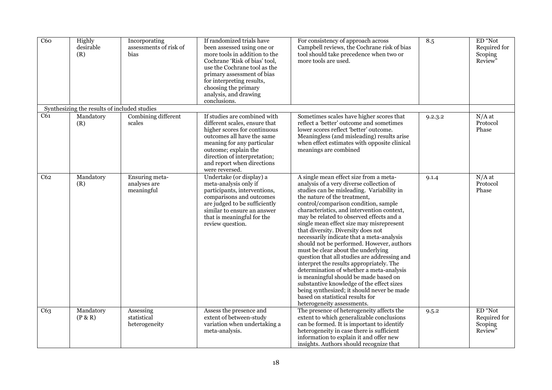| C60 | Highly<br>desirable<br>(R)                   | Incorporating<br>assessments of risk of<br>bias | If randomized trials have<br>been assessed using one or<br>more tools in addition to the<br>Cochrane 'Risk of bias' tool,<br>use the Cochrane tool as the<br>primary assessment of bias<br>for interpreting results,<br>choosing the primary<br>analysis, and drawing<br>conclusions. | For consistency of approach across<br>Campbell reviews, the Cochrane risk of bias<br>tool should take precedence when two or<br>more tools are used.                                                                                                                                                                                                                                                                                                                                                                                                                                                                                                                                                                                                                                                                                                              | 8.5     | ED "Not<br>Required for<br>Scoping<br>Review" |
|-----|----------------------------------------------|-------------------------------------------------|---------------------------------------------------------------------------------------------------------------------------------------------------------------------------------------------------------------------------------------------------------------------------------------|-------------------------------------------------------------------------------------------------------------------------------------------------------------------------------------------------------------------------------------------------------------------------------------------------------------------------------------------------------------------------------------------------------------------------------------------------------------------------------------------------------------------------------------------------------------------------------------------------------------------------------------------------------------------------------------------------------------------------------------------------------------------------------------------------------------------------------------------------------------------|---------|-----------------------------------------------|
|     | Synthesizing the results of included studies |                                                 |                                                                                                                                                                                                                                                                                       |                                                                                                                                                                                                                                                                                                                                                                                                                                                                                                                                                                                                                                                                                                                                                                                                                                                                   |         |                                               |
| C61 | Mandatory<br>(R)                             | Combining different<br>scales                   | If studies are combined with<br>different scales, ensure that<br>higher scores for continuous<br>outcomes all have the same<br>meaning for any particular<br>outcome; explain the<br>direction of interpretation;<br>and report when directions<br>were reversed.                     | Sometimes scales have higher scores that<br>reflect a 'better' outcome and sometimes<br>lower scores reflect 'better' outcome.<br>Meaningless (and misleading) results arise<br>when effect estimates with opposite clinical<br>meanings are combined                                                                                                                                                                                                                                                                                                                                                                                                                                                                                                                                                                                                             | 9.2.3.2 | $N/A$ at<br>Protocol<br>Phase                 |
| C62 | Mandatory<br>(R)                             | Ensuring meta-<br>analyses are<br>meaningful    | Undertake (or display) a<br>meta-analysis only if<br>participants, interventions,<br>comparisons and outcomes<br>are judged to be sufficiently<br>similar to ensure an answer<br>that is meaningful for the<br>review question.                                                       | A single mean effect size from a meta-<br>analysis of a very diverse collection of<br>studies can be misleading. Variability in<br>the nature of the treatment,<br>control/comparison condition, sample<br>characteristics, and intervention context,<br>may be related to observed effects and a<br>single mean effect size may misrepresent<br>that diversity. Diversity does not<br>necessarily indicate that a meta-analysis<br>should not be performed. However, authors<br>must be clear about the underlying<br>question that all studies are addressing and<br>interpret the results appropriately. The<br>determination of whether a meta-analysis<br>is meaningful should be made based on<br>substantive knowledge of the effect sizes<br>being synthesized; it should never be made<br>based on statistical results for<br>heterogeneity assessments. | 9.1.4   | $N/A$ at<br>Protocol<br>Phase                 |
| C63 | Mandatory<br>(P & R)                         | Assessing<br>statistical<br>heterogeneity       | Assess the presence and<br>extent of between-study<br>variation when undertaking a<br>meta-analysis.                                                                                                                                                                                  | The presence of heterogeneity affects the<br>extent to which generalizable conclusions<br>can be formed. It is important to identify<br>heterogeneity in case there is sufficient<br>information to explain it and offer new<br>insights. Authors should recognize that                                                                                                                                                                                                                                                                                                                                                                                                                                                                                                                                                                                           | 9.5.2   | ED "Not<br>Required for<br>Scoping<br>Review' |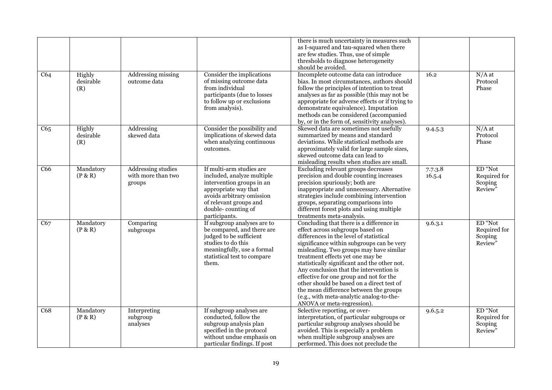|                 |                            |                                                           |                                                                                                                                                                                                           | there is much uncertainty in measures such<br>as I-squared and tau-squared when there<br>are few studies. Thus, use of simple<br>thresholds to diagnose heterogeneity<br>should be avoided.                                                                                                                                                                                                                                                                                                                                                                |                   |                                               |
|-----------------|----------------------------|-----------------------------------------------------------|-----------------------------------------------------------------------------------------------------------------------------------------------------------------------------------------------------------|------------------------------------------------------------------------------------------------------------------------------------------------------------------------------------------------------------------------------------------------------------------------------------------------------------------------------------------------------------------------------------------------------------------------------------------------------------------------------------------------------------------------------------------------------------|-------------------|-----------------------------------------------|
| C64             | Highly<br>desirable<br>(R) | Addressing missing<br>outcome data                        | Consider the implications<br>of missing outcome data<br>from individual<br>participants (due to losses<br>to follow up or exclusions<br>from analysis).                                                   | Incomplete outcome data can introduce<br>bias. In most circumstances, authors should<br>follow the principles of intention to treat<br>analyses as far as possible (this may not be<br>appropriate for adverse effects or if trying to<br>demonstrate equivalence). Imputation<br>methods can be considered (accompanied<br>by, or in the form of, sensitivity analyses).                                                                                                                                                                                  | 16.2              | $N/A$ at<br>Protocol<br>Phase                 |
| C65             | Highly<br>desirable<br>(R) | Addressing<br>skewed data                                 | Consider the possibility and<br>implications of skewed data<br>when analyzing continuous<br>outcomes.                                                                                                     | Skewed data are sometimes not usefully<br>summarized by means and standard<br>deviations. While statistical methods are<br>approximately valid for large sample sizes,<br>skewed outcome data can lead to<br>misleading results when studies are small.                                                                                                                                                                                                                                                                                                    | 9.4.5.3           | $N/A$ at<br>Protocol<br>Phase                 |
| C <sub>66</sub> | Mandatory<br>(P & R)       | <b>Addressing studies</b><br>with more than two<br>groups | If multi-arm studies are<br>included, analyze multiple<br>intervention groups in an<br>appropriate way that<br>avoids arbitrary omission<br>of relevant groups and<br>double-counting of<br>participants. | Excluding relevant groups decreases<br>precision and double counting increases<br>precision spuriously; both are<br>inappropriate and unnecessary. Alternative<br>strategies include combining intervention<br>groups, separating comparisons into<br>different forest plots and using multiple<br>treatments meta-analysis.                                                                                                                                                                                                                               | 7.7.3.8<br>16.5.4 | ED "Not<br>Required for<br>Scoping<br>Review" |
| C67             | Mandatory<br>(P & R)       | Comparing<br>subgroups                                    | If subgroup analyses are to<br>be compared, and there are<br>judged to be sufficient<br>studies to do this<br>meaningfully, use a formal<br>statistical test to compare<br>them.                          | Concluding that there is a difference in<br>effect across subgroups based on<br>differences in the level of statistical<br>significance within subgroups can be very<br>misleading. Two groups may have similar<br>treatment effects yet one may be<br>statistically significant and the other not.<br>Any conclusion that the intervention is<br>effective for one group and not for the<br>other should be based on a direct test of<br>the mean difference between the groups<br>(e.g., with meta-analytic analog-to-the-<br>ANOVA or meta-regression). | 9.6.3.1           | ED "Not<br>Required for<br>Scoping<br>Review" |
| C68             | Mandatory<br>(P & R)       | Interpreting<br>subgroup<br>analyses                      | If subgroup analyses are<br>conducted, follow the<br>subgroup analysis plan<br>specified in the protocol<br>without undue emphasis on<br>particular findings. If post                                     | Selective reporting, or over-<br>interpretation, of particular subgroups or<br>particular subgroup analyses should be<br>avoided. This is especially a problem<br>when multiple subgroup analyses are<br>performed. This does not preclude the                                                                                                                                                                                                                                                                                                             | 9.6.5.2           | ED "Not<br>Required for<br>Scoping<br>Review" |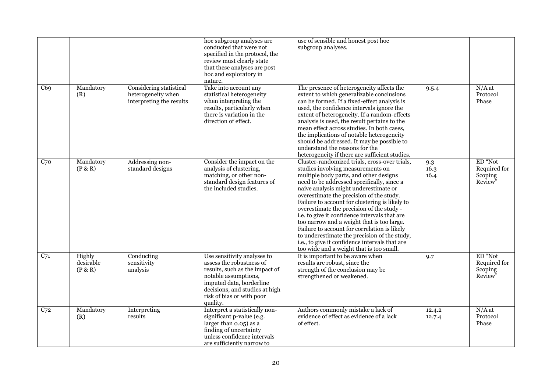|     |                                |                                                                           | hoc subgroup analyses are<br>conducted that were not<br>specified in the protocol, the<br>review must clearly state<br>that these analyses are post<br>hoc and exploratory in<br>nature.                                 | use of sensible and honest post hoc<br>subgroup analyses.                                                                                                                                                                                                                                                                                                                                                                                                                                                                                                                                                                                                   |                     |                                               |
|-----|--------------------------------|---------------------------------------------------------------------------|--------------------------------------------------------------------------------------------------------------------------------------------------------------------------------------------------------------------------|-------------------------------------------------------------------------------------------------------------------------------------------------------------------------------------------------------------------------------------------------------------------------------------------------------------------------------------------------------------------------------------------------------------------------------------------------------------------------------------------------------------------------------------------------------------------------------------------------------------------------------------------------------------|---------------------|-----------------------------------------------|
| C69 | Mandatory<br>(R)               | Considering statistical<br>heterogeneity when<br>interpreting the results | Take into account any<br>statistical heterogeneity<br>when interpreting the<br>results, particularly when<br>there is variation in the<br>direction of effect.                                                           | The presence of heterogeneity affects the<br>extent to which generalizable conclusions<br>can be formed. If a fixed-effect analysis is<br>used, the confidence intervals ignore the<br>extent of heterogeneity. If a random-effects<br>analysis is used, the result pertains to the<br>mean effect across studies. In both cases,<br>the implications of notable heterogeneity<br>should be addressed. It may be possible to<br>understand the reasons for the<br>heterogeneity if there are sufficient studies.                                                                                                                                            | 9.5.4               | $N/A$ at<br>Protocol<br>Phase                 |
| C70 | Mandatory<br>(P & R)           | Addressing non-<br>standard designs                                       | Consider the impact on the<br>analysis of clustering,<br>matching, or other non-<br>standard design features of<br>the included studies.                                                                                 | Cluster-randomized trials, cross-over trials,<br>studies involving measurements on<br>multiple body parts, and other designs<br>need to be addressed specifically, since a<br>naive analysis might underestimate or<br>overestimate the precision of the study.<br>Failure to account for clustering is likely to<br>overestimate the precision of the study -<br>i.e. to give it confidence intervals that are<br>too narrow and a weight that is too large.<br>Failure to account for correlation is likely<br>to underestimate the precision of the study,<br>i.e., to give it confidence intervals that are<br>too wide and a weight that is too small. | 9.3<br>16.3<br>16.4 | ED "Not<br>Required for<br>Scoping<br>Review" |
| C71 | Highly<br>desirable<br>(P & R) | Conducting<br>sensitivity<br>analysis                                     | Use sensitivity analyses to<br>assess the robustness of<br>results, such as the impact of<br>notable assumptions,<br>imputed data, borderline<br>decisions, and studies at high<br>risk of bias or with poor<br>quality. | It is important to be aware when<br>results are robust, since the<br>strength of the conclusion may be<br>strengthened or weakened.                                                                                                                                                                                                                                                                                                                                                                                                                                                                                                                         | 9.7                 | ED "Not<br>Required for<br>Scoping<br>Review" |
| C72 | Mandatory<br>(R)               | Interpreting<br>results                                                   | Interpret a statistically non-<br>significant p-value (e.g.<br>larger than 0.05) as a<br>finding of uncertainty<br>unless confidence intervals<br>are sufficiently narrow to                                             | Authors commonly mistake a lack of<br>evidence of effect as evidence of a lack<br>of effect.                                                                                                                                                                                                                                                                                                                                                                                                                                                                                                                                                                | 12.4.2<br>12.7.4    | $N/A$ at<br>Protocol<br>Phase                 |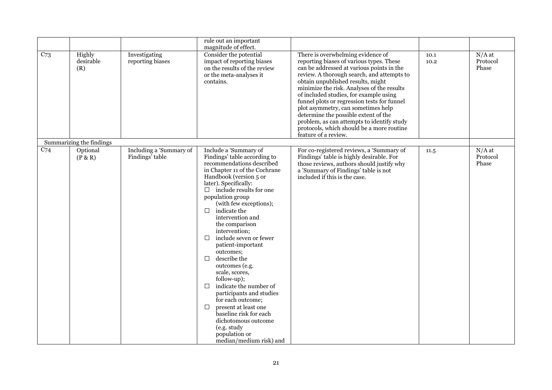|                 |                            |                                            | rule out an important<br>magnitude of effect.                                                                                                                                                                                                                                                                                                                                                                                                                                                                                                                                                                                                                                                                  |                                                                                                                                                                                                                                                                                                                                                                                                                                                                                                                                                       |              |                               |
|-----------------|----------------------------|--------------------------------------------|----------------------------------------------------------------------------------------------------------------------------------------------------------------------------------------------------------------------------------------------------------------------------------------------------------------------------------------------------------------------------------------------------------------------------------------------------------------------------------------------------------------------------------------------------------------------------------------------------------------------------------------------------------------------------------------------------------------|-------------------------------------------------------------------------------------------------------------------------------------------------------------------------------------------------------------------------------------------------------------------------------------------------------------------------------------------------------------------------------------------------------------------------------------------------------------------------------------------------------------------------------------------------------|--------------|-------------------------------|
| C <sub>73</sub> | Highly<br>desirable<br>(R) | Investigating<br>reporting biases          | Consider the potential<br>impact of reporting biases<br>on the results of the review<br>or the meta-analyses it<br>contains.                                                                                                                                                                                                                                                                                                                                                                                                                                                                                                                                                                                   | There is overwhelming evidence of<br>reporting biases of various types. These<br>can be addressed at various points in the<br>review. A thorough search, and attempts to<br>obtain unpublished results, might<br>minimize the risk. Analyses of the results<br>of included studies, for example using<br>funnel plots or regression tests for funnel<br>plot asymmetry, can sometimes help<br>determine the possible extent of the<br>problem, as can attempts to identify study<br>protocols, which should be a more routine<br>feature of a review. | 10.1<br>10.2 | $N/A$ at<br>Protocol<br>Phase |
|                 | Summarizing the findings   |                                            |                                                                                                                                                                                                                                                                                                                                                                                                                                                                                                                                                                                                                                                                                                                |                                                                                                                                                                                                                                                                                                                                                                                                                                                                                                                                                       |              |                               |
| C <sub>74</sub> | Optional<br>(P & R)        | Including a 'Summary of<br>Findings' table | Include a 'Summary of<br>Findings' table according to<br>recommendations described<br>in Chapter 11 of the Cochrane<br>Handbook (version 5 or<br>later). Specifically:<br>$\Box$ include results for one<br>population group<br>(with few exceptions);<br>indicate the<br>$\Box$<br>intervention and<br>the comparison<br>intervention;<br>include seven or fewer<br>□<br>patient-important<br>outcomes;<br>describe the<br>П<br>outcomes (e.g.<br>scale, scores,<br>follow-up);<br>indicate the number of<br>П<br>participants and studies<br>for each outcome;<br>present at least one<br>$\Box$<br>baseline risk for each<br>dichotomous outcome<br>(e.g. study<br>population or<br>median/medium risk) and | For co-registered reviews, a 'Summary of<br>Findings' table is highly desirable. For<br>those reviews, authors should justify why<br>a 'Summary of Findings' table is not<br>included if this is the case.                                                                                                                                                                                                                                                                                                                                            | 11.5         | $N/A$ at<br>Protocol<br>Phase |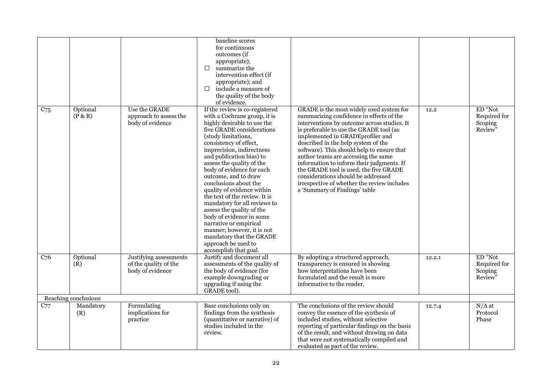|                 |                      |                                                                     | baseline scores<br>for continuous<br>outcomes (if<br>appropriate);<br>summarize the<br>П<br>intervention effect (if<br>appropriate); and<br>include a measure of<br>П<br>the quality of the body<br>of evidence.                                                                                                                                                                                                                                                                                                                                                                                                                            |                                                                                                                                                                                                                                                                                                                                                                                                                                                                                                                                                             |        |                                               |
|-----------------|----------------------|---------------------------------------------------------------------|---------------------------------------------------------------------------------------------------------------------------------------------------------------------------------------------------------------------------------------------------------------------------------------------------------------------------------------------------------------------------------------------------------------------------------------------------------------------------------------------------------------------------------------------------------------------------------------------------------------------------------------------|-------------------------------------------------------------------------------------------------------------------------------------------------------------------------------------------------------------------------------------------------------------------------------------------------------------------------------------------------------------------------------------------------------------------------------------------------------------------------------------------------------------------------------------------------------------|--------|-----------------------------------------------|
| C <sub>75</sub> | Optional<br>(P & R)  | Use the GRADE<br>approach to assess the<br>body of evidence         | If the review is co-registered<br>with a Cochrane group, it is<br>highly desirable to use the<br>five GRADE considerations<br>(study limitations,<br>consistency of effect,<br>imprecision, indirectness<br>and publication bias) to<br>assess the quality of the<br>body of evidence for each<br>outcome, and to draw<br>conclusions about the<br>quality of evidence within<br>the text of the review. It is<br>mandatory for all reviews to<br>assess the quality of the<br>body of evidence in some<br>narrative or empirical<br>manner; however, it is not<br>mandatory that the GRADE<br>approach be used to<br>accomplish that goal. | GRADE is the most widely used system for<br>summarizing confidence in effects of the<br>interventions by outcome across studies. It<br>is preferable to use the GRADE tool (as<br>implemented in GRADEprofiler and<br>described in the help system of the<br>software). This should help to ensure that<br>author teams are accessing the same<br>information to inform their judgments. If<br>the GRADE tool is used, the five GRADE<br>considerations should be addressed<br>irrespective of whether the review includes<br>a 'Summary of Findings' table | 12.2   | ED "Not<br>Required for<br>Scoping<br>Review" |
| C <sub>76</sub> | Optional<br>(R)      | Justifying assessments<br>of the quality of the<br>body of evidence | Justify and document all<br>assessments of the quality of<br>the body of evidence (for<br>example downgrading or<br>upgrading if using the<br>GRADE tool).                                                                                                                                                                                                                                                                                                                                                                                                                                                                                  | By adopting a structured approach,<br>transparency is ensured in showing<br>how interpretations have been<br>formulated and the result is more<br>informative to the reader.                                                                                                                                                                                                                                                                                                                                                                                | 12.2.1 | ED "Not<br>Required for<br>Scoping<br>Review" |
|                 | Reaching conclusions |                                                                     |                                                                                                                                                                                                                                                                                                                                                                                                                                                                                                                                                                                                                                             |                                                                                                                                                                                                                                                                                                                                                                                                                                                                                                                                                             |        |                                               |
| C77             | Mandatory<br>(R)     | Formulating<br>implications for<br>practice                         | Base conclusions only on<br>findings from the synthesis<br>(quantitative or narrative) of<br>studies included in the<br>review.                                                                                                                                                                                                                                                                                                                                                                                                                                                                                                             | The conclusions of the review should<br>convey the essence of the synthesis of<br>included studies, without selective<br>reporting of particular findings on the basis<br>of the result, and without drawing on data<br>that were not systematically compiled and<br>evaluated as part of the review.                                                                                                                                                                                                                                                       | 12.7.4 | $N/A$ at<br>Protocol<br>Phase                 |